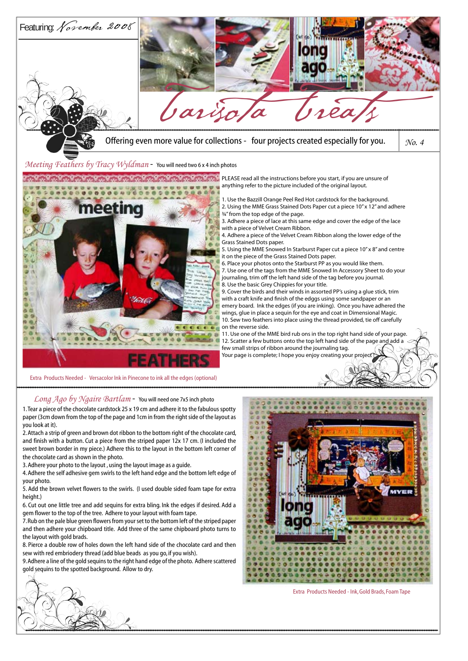

you look at it).

2. Attach a strip of green and brown dot ribbon to the bottom right of the chocolate card, and finish with a button. Cut a piece from the striped paper 12x 17 cm. (I included the sweet brown border in my piece.) Adhere this to the layout in the bottom left corner of the chocolate card as shown in the photo.

3. Adhere your photo to the layout , using the layout image as a guide.

4. Adhere the self adhesive gem swirls to the left hand edge and the bottom left edge of your photo.

5. Add the brown velvet flowers to the swirls. (I used double sided foam tape for extra height.)

6. Cut out one little tree and add sequins for extra bling. Ink the edges if desired. Add a gem flower to the top of the tree. Adhere to your layout with foam tape.

7. Rub on the pale blue green flowers from your set to the bottom left of the striped paper and then adhere your chipboard title. Add three of the same chipboard photo turns to the layout with gold brads.

8. Pierce a double row of holes down the left hand side of the chocolate card and then sew with red embriodery thread (add blue beads as you go, if you wish).

9. Adhere a line of the gold sequins to the right hand edge of the photo. Adhere scattered gold sequins to the spotted background. Allow to dry.



Extra Products Needed - Ink, Gold Brads, Foam Tape